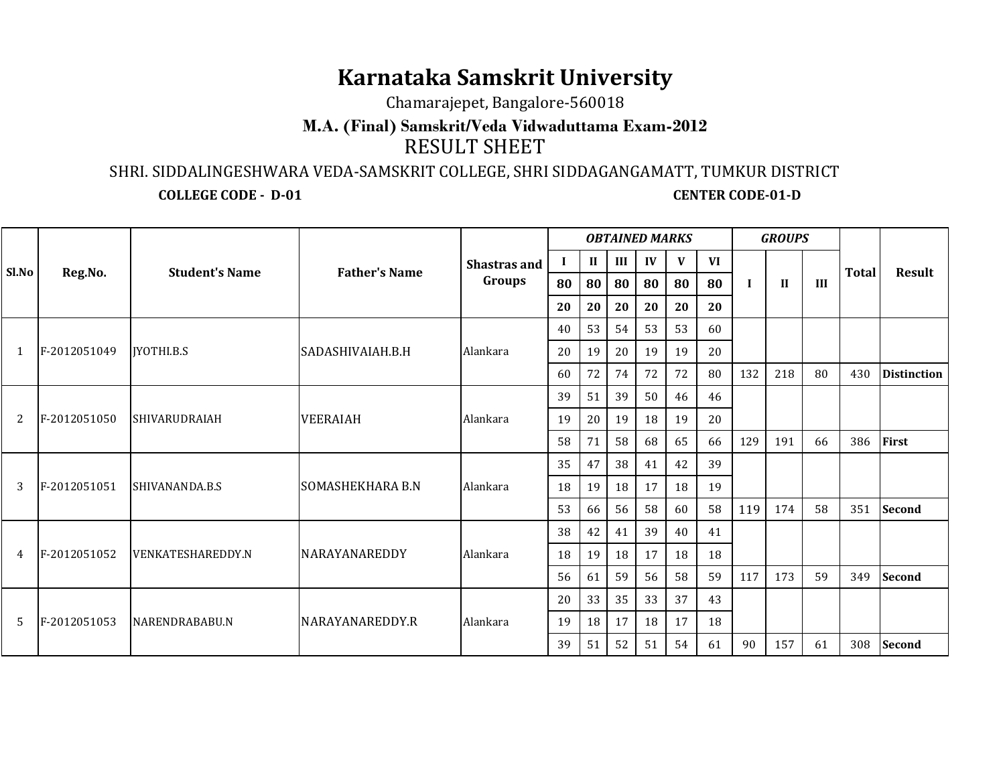## **Karnataka Samskrit University**

Chamarajepet, Bangalore-560018

## RESULT SHEET**M.A. (Final) Samskrit/Veda Vidwaduttama Exam-2012**

SHRI. SIDDALINGESHWARA VEDA-SAMSKRIT COLLEGE, SHRI SIDDAGANGAMATT, TUMKUR DISTRICT

**COLLEGE CODE - D-01 CENTER CODE-01-D**

| Sl.No        | Reg.No.      | <b>Student's Name</b>    | <b>Father's Name</b>    | Shastras and<br>Groups                                                                                                      | <b>OBTAINED MARKS</b> |              |                      |    |    |    |         | <b>GROUPS</b> |     |              |                    |
|--------------|--------------|--------------------------|-------------------------|-----------------------------------------------------------------------------------------------------------------------------|-----------------------|--------------|----------------------|----|----|----|---------|---------------|-----|--------------|--------------------|
|              |              |                          |                         |                                                                                                                             | $\bf{I}$              | $\mathbf{I}$ | Ш                    | IV | V  | VI | H<br>-1 |               | III | <b>Total</b> | <b>Result</b>      |
|              |              |                          |                         |                                                                                                                             | 80                    | 80           | 80                   | 80 | 80 | 80 |         |               |     |              |                    |
|              |              |                          |                         |                                                                                                                             | 20                    | 20           | 20                   | 20 | 20 | 20 |         |               |     |              |                    |
| $\mathbf{1}$ | F-2012051049 | <b>IYOTHI.B.S</b>        |                         |                                                                                                                             | 40                    | 53           | 53<br>53<br>54<br>60 |    |    |    |         |               |     |              |                    |
|              |              |                          | SADASHIVAIAH.B.H        | Alankara                                                                                                                    | 20                    | 19           | 20                   | 19 | 19 | 20 |         |               |     |              |                    |
|              |              |                          |                         |                                                                                                                             | 60                    | 72           | 74                   | 72 | 72 | 80 | 132     | 218           | 80  | 430          | <b>Distinction</b> |
|              | F-2012051050 | <b>SHIVARUDRAIAH</b>     |                         |                                                                                                                             | 39                    | 51           | 39                   | 50 | 46 | 46 |         |               |     |              |                    |
| 2            |              |                          | <b>VEERAIAH</b>         | Alankara                                                                                                                    | 19                    | 20           | 19                   | 18 | 19 | 20 |         |               |     |              |                    |
|              |              |                          |                         |                                                                                                                             | 58                    | 71           | 58                   | 68 | 65 | 66 | 129     | 191           | 66  | 386          | First              |
|              |              |                          |                         |                                                                                                                             | 35                    | 47           | 38                   | 41 | 42 | 39 |         |               |     |              |                    |
| 3            | F-2012051051 | SHIVANANDA.B.S           | <b>SOMASHEKHARA B.N</b> | Alankara                                                                                                                    | 18                    | 19           | 18                   | 17 | 18 | 19 |         |               |     |              |                    |
|              |              |                          |                         |                                                                                                                             | 53                    | 66           | 56                   | 58 | 60 | 58 | 119     | 174           | 58  | 351          | <b>Second</b>      |
|              | F-2012051052 | <b>VENKATESHAREDDY.N</b> |                         | 39<br>38<br>42<br>40<br>41<br>41<br>17<br>Alankara<br>18<br>18<br>18<br>19<br>18<br>59<br>56<br>58<br>59<br>117<br>56<br>61 |                       |              |                      |    |    |    |         |               |     |              |                    |
| 4            |              |                          | <b>NARAYANAREDDY</b>    |                                                                                                                             |                       |              |                      |    |    |    |         |               |     |              |                    |
|              |              |                          |                         |                                                                                                                             |                       |              |                      |    |    |    |         | 173           | 59  | 349          | <b>Second</b>      |
|              | F-2012051053 | NARENDRABABU.N           | NARAYANAREDDY.R         | Alankara                                                                                                                    | 20                    | 33           | 35                   | 33 | 37 | 43 |         |               |     |              |                    |
| 5            |              |                          |                         |                                                                                                                             | 19                    | 18           | 17                   | 18 | 17 | 18 |         |               |     |              |                    |
|              |              |                          |                         |                                                                                                                             | 39                    | 51           | 52                   | 51 | 54 | 61 | 90      | 157           | 61  | 308          | <b>Second</b>      |